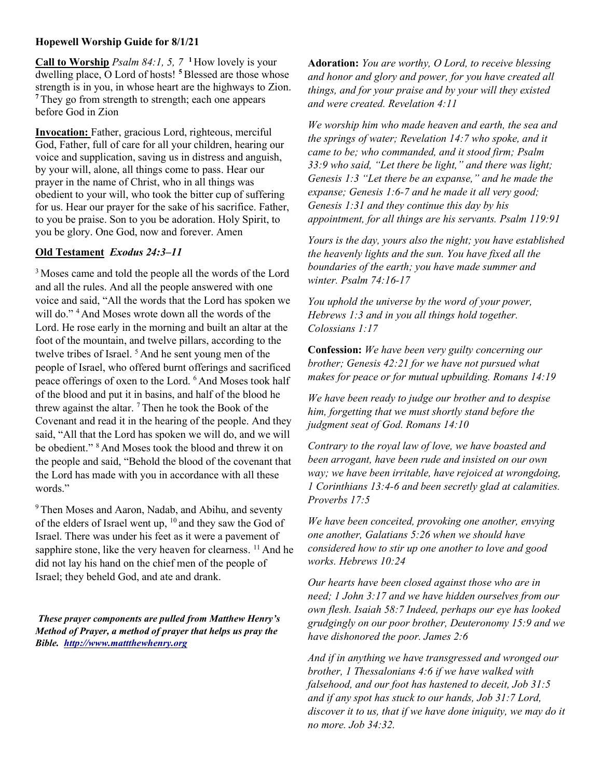## Hopewell Worship Guide for 8/1/21

Call to Worship *Psalm 84:1, 5, 7* <sup>1</sup> How lovely is your dwelling place, O Lord of hosts!<sup>5</sup> Blessed are those whose strength is in you, in whose heart are the highways to Zion. <sup>7</sup>They go from strength to strength; each one appears before God in Zion

Invocation: Father, gracious Lord, righteous, merciful God, Father, full of care for all your children, hearing our voice and supplication, saving us in distress and anguish, by your will, alone, all things come to pass. Hear our prayer in the name of Christ, who in all things was obedient to your will, who took the bitter cup of suffering for us. Hear our prayer for the sake of his sacrifice. Father, to you be praise. Son to you be adoration. Holy Spirit, to you be glory. One God, now and forever. Amen

## Old Testament Exodus 24:3–11

<sup>3</sup>Moses came and told the people all the words of the Lord and all the rules. And all the people answered with one voice and said, "All the words that the Lord has spoken we will do."<sup>4</sup> And Moses wrote down all the words of the Lord. He rose early in the morning and built an altar at the foot of the mountain, and twelve pillars, according to the twelve tribes of Israel.  $5$  And he sent young men of the people of Israel, who offered burnt offerings and sacrificed peace offerings of oxen to the Lord. <sup>6</sup>And Moses took half of the blood and put it in basins, and half of the blood he threw against the altar.  $7$  Then he took the Book of the Covenant and read it in the hearing of the people. And they said, "All that the Lord has spoken we will do, and we will be obedient." <sup>8</sup>And Moses took the blood and threw it on the people and said, "Behold the blood of the covenant that the Lord has made with you in accordance with all these words."

<sup>9</sup> Then Moses and Aaron, Nadab, and Abihu, and seventy of the elders of Israel went up,  $10$  and they saw the God of Israel. There was under his feet as it were a pavement of sapphire stone, like the very heaven for clearness. <sup>11</sup> And he did not lay his hand on the chief men of the people of Israel; they beheld God, and ate and drank.

These prayer components are pulled from Matthew Henry's Method of Prayer, a method of prayer that helps us pray the Bible. http://www.mattthewhenry.org

Adoration: You are worthy, O Lord, to receive blessing and honor and glory and power, for you have created all things, and for your praise and by your will they existed and were created. Revelation 4:11

We worship him who made heaven and earth, the sea and the springs of water; Revelation 14:7 who spoke, and it came to be; who commanded, and it stood firm; Psalm 33:9 who said, "Let there be light," and there was light; Genesis 1:3 "Let there be an expanse," and he made the expanse; Genesis 1:6-7 and he made it all very good; Genesis 1:31 and they continue this day by his appointment, for all things are his servants. Psalm 119:91

Yours is the day, yours also the night; you have established the heavenly lights and the sun. You have fixed all the boundaries of the earth; you have made summer and winter. Psalm 74:16-17

You uphold the universe by the word of your power, Hebrews 1:3 and in you all things hold together. Colossians 1:17

Confession: We have been very guilty concerning our brother; Genesis 42:21 for we have not pursued what makes for peace or for mutual upbuilding. Romans 14:19

We have been ready to judge our brother and to despise him, forgetting that we must shortly stand before the judgment seat of God. Romans 14:10

Contrary to the royal law of love, we have boasted and been arrogant, have been rude and insisted on our own way; we have been irritable, have rejoiced at wrongdoing, 1 Corinthians 13:4-6 and been secretly glad at calamities. Proverbs 17:5

We have been conceited, provoking one another, envying one another, Galatians 5:26 when we should have considered how to stir up one another to love and good works. Hebrews 10:24

Our hearts have been closed against those who are in need; 1 John 3:17 and we have hidden ourselves from our own flesh. Isaiah 58:7 Indeed, perhaps our eye has looked grudgingly on our poor brother, Deuteronomy 15:9 and we have dishonored the poor. James 2:6

And if in anything we have transgressed and wronged our brother, 1 Thessalonians 4:6 if we have walked with falsehood, and our foot has hastened to deceit, Job 31:5 and if any spot has stuck to our hands, Job 31:7 Lord, discover it to us, that if we have done iniquity, we may do it no more. Job 34:32.